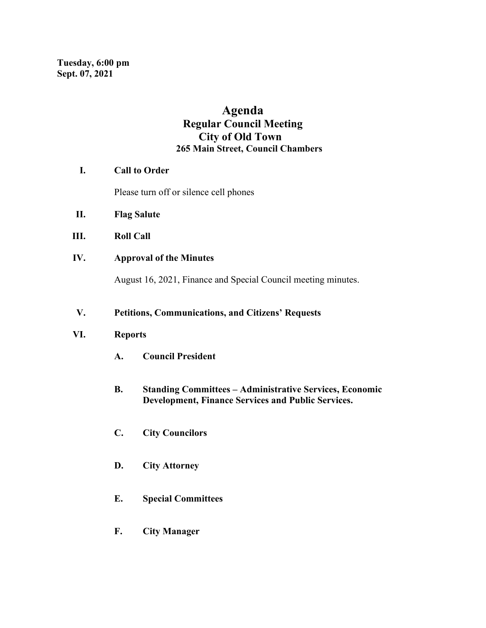# **Agenda Regular Council Meeting City of Old Town 265 Main Street, Council Chambers**

## **I. Call to Order**

Please turn off or silence cell phones

- **II. Flag Salute**
- **III. Roll Call**
- **IV. Approval of the Minutes**

August 16, 2021, Finance and Special Council meeting minutes.

# **V. Petitions, Communications, and Citizens' Requests**

### **VI. Reports**

- **A. Council President**
- **B. Standing Committees – Administrative Services, Economic Development, Finance Services and Public Services.**
- **C. City Councilors**
- **D. City Attorney**
- **E. Special Committees**
- **F. City Manager**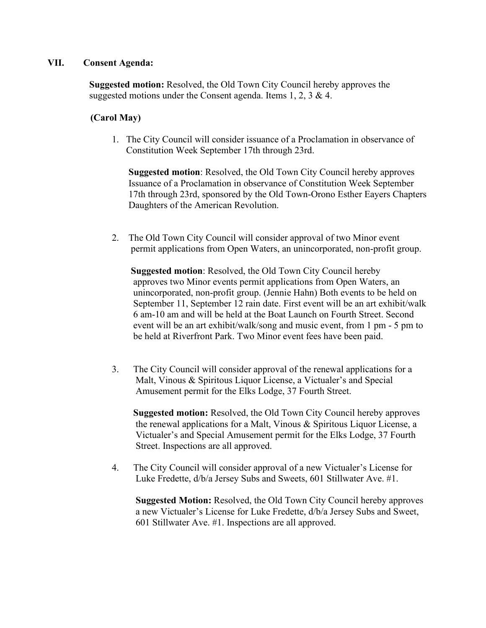### **VII. Consent Agenda:**

**Suggested motion:** Resolved, the Old Town City Council hereby approves the suggested motions under the Consent agenda. Items 1, 2, 3 & 4.

## **(Carol May)**

1. The City Council will consider issuance of a Proclamation in observance of Constitution Week September 17th through 23rd.

 **Suggested motion**: Resolved, the Old Town City Council hereby approves Issuance of a Proclamation in observance of Constitution Week September 17th through 23rd, sponsored by the Old Town-Orono Esther Eayers Chapters Daughters of the American Revolution.

2. The Old Town City Council will consider approval of two Minor event permit applications from Open Waters, an unincorporated, non-profit group.

 **Suggested motion**: Resolved, the Old Town City Council hereby approves two Minor events permit applications from Open Waters, an unincorporated, non-profit group. (Jennie Hahn) Both events to be held on September 11, September 12 rain date. First event will be an art exhibit/walk 6 am-10 am and will be held at the Boat Launch on Fourth Street. Second event will be an art exhibit/walk/song and music event, from 1 pm - 5 pm to be held at Riverfront Park. Two Minor event fees have been paid.

3. The City Council will consider approval of the renewal applications for a Malt, Vinous & Spiritous Liquor License, a Victualer's and Special Amusement permit for the Elks Lodge, 37 Fourth Street.

 **Suggested motion:** Resolved, the Old Town City Council hereby approves the renewal applications for a Malt, Vinous & Spiritous Liquor License, a Victualer's and Special Amusement permit for the Elks Lodge, 37 Fourth Street. Inspections are all approved.

4. The City Council will consider approval of a new Victualer's License for Luke Fredette, d/b/a Jersey Subs and Sweets, 601 Stillwater Ave. #1.

 **Suggested Motion:** Resolved, the Old Town City Council hereby approves a new Victualer's License for Luke Fredette, d/b/a Jersey Subs and Sweet, 601 Stillwater Ave. #1. Inspections are all approved.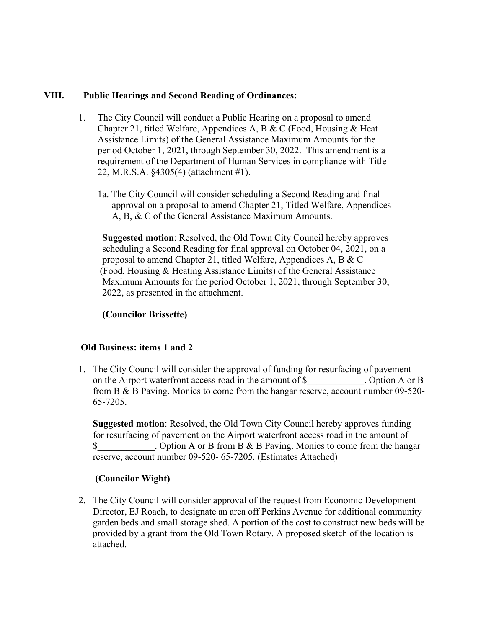## **VIII. Public Hearings and Second Reading of Ordinances:**

- 1. The City Council will conduct a Public Hearing on a proposal to amend Chapter 21, titled Welfare, Appendices A, B & C (Food, Housing & Heat Assistance Limits) of the General Assistance Maximum Amounts for the period October 1, 2021, through September 30, 2022. This amendment is a requirement of the Department of Human Services in compliance with Title 22, M.R.S.A. §4305(4) (attachment #1).
	- 1a. The City Council will consider scheduling a Second Reading and final approval on a proposal to amend Chapter 21, Titled Welfare, Appendices A, B, & C of the General Assistance Maximum Amounts.

 **Suggested motion**: Resolved, the Old Town City Council hereby approves scheduling a Second Reading for final approval on October 04, 2021, on a proposal to amend Chapter 21, titled Welfare, Appendices A, B & C (Food, Housing & Heating Assistance Limits) of the General Assistance Maximum Amounts for the period October 1, 2021, through September 30, 2022, as presented in the attachment.

# **(Councilor Brissette)**

#### **Old Business: items 1 and 2**

1. The City Council will consider the approval of funding for resurfacing of pavement on the Airport waterfront access road in the amount of \$ . Option A or B from B & B Paving. Monies to come from the hangar reserve, account number 09-520- 65-7205.

 **Suggested motion**: Resolved, the Old Town City Council hereby approves funding for resurfacing of pavement on the Airport waterfront access road in the amount of \$ Dependence Option A or B from B & B Paving. Monies to come from the hangar reserve, account number 09-520- 65-7205. (Estimates Attached)

#### **(Councilor Wight)**

2. The City Council will consider approval of the request from Economic Development Director, EJ Roach, to designate an area off Perkins Avenue for additional community garden beds and small storage shed. A portion of the cost to construct new beds will be provided by a grant from the Old Town Rotary. A proposed sketch of the location is attached.